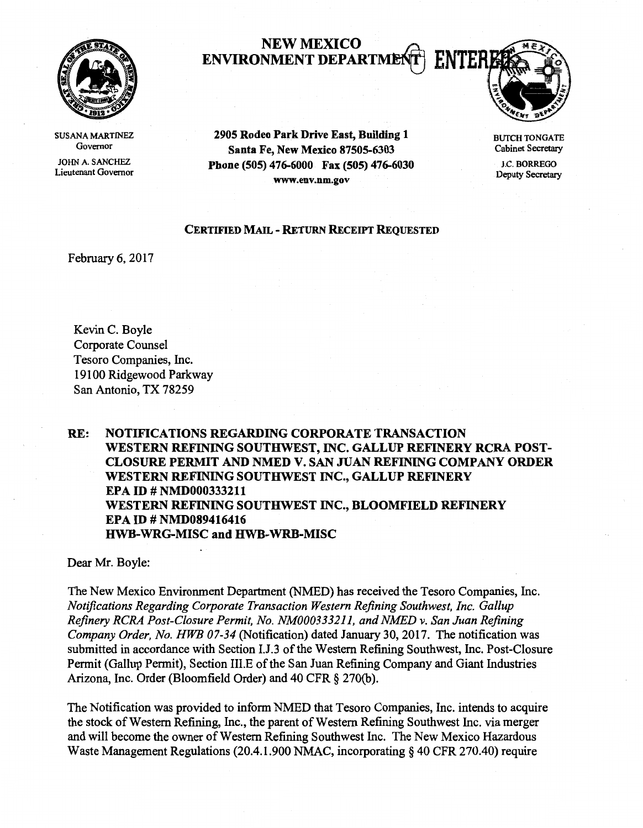

NEW MEXICO<br>NMENT DEPARTMENT | ENTEI ENVIRONMENT DEPARTME



SUSANA MARTINEZ Governor

JOHN A. SANCHEZ Lieutenant Governor

2905 Rodeo Park Drive East, Building 1 Santa Fe, New Mexico 87505-6303 Phone (505) 476-6000 Fax (505) 476-6030 www.env.nm.gov

## BUTCH TONGATE Cabinet Secretary

J.C. BORREGO Deputy Secretary

## CERTIFIED MAIL - RETURN RECEIPT REQUESTED

February 6, 2017

Kevin C. Boyle Corporate Counsel Tesoro Companies, Inc. 19100 Ridgewood Parkway San Antonio, TX 78259

RE: NOTIFICATIONS REGARDING CORPORATE TRANSACTION WESTERN REFINING SOUTHWEST, INC. GALLUP REFINERY RCRA POST-CLOSURE PERMIT AND NMED V. SAN JUAN REFINING COMPANY ORDER WESTERN REFINING SOUTHWEST INC., GALLUP REFINERY EPA ID # NMD000333211 WESTERN REFINING SOUTHWEST INC., BLOOMFIELD REFINERY EPA ID# NMD089416416 HWB-WRG-MISC and HWB-WRB-MISC

Dear Mr. Boyle:

The New Mexico Environment Department (NMED) has received the Tesoro Companies, Inc. *Notifications Regarding Corporate Transaction Western Refining Southwest, Inc. Gallup Refinery RCRA Post-Closure Permit, No. NM000333211, and NMED v. San Juan Refining Company Order, No. HWB 07-34* (Notification) dated January 30, 2017. The notification was submitted in accordance with Section I.J.3 of the Western Refining Southwest, Inc. Post-Closure Permit (Gallup Permit), Section 111.E of the San Juan Refining Company and Giant Industries Arizona, Inc. Order (Bloomfield Order) and 40 CFR § 270(b).

The Notification was provided to inform NMED that Tesoro Companies, Inc. intends to acquire the stock of Western Refining, Inc., the parent of Western Refining Southwest Inc. via merger and will become the owner of Western Refining Southwest Inc. The New Mexico Hazardous Waste Management Regulations (20.4.1.900 NMAC, incorporating§ 40 CFR 270.40) require